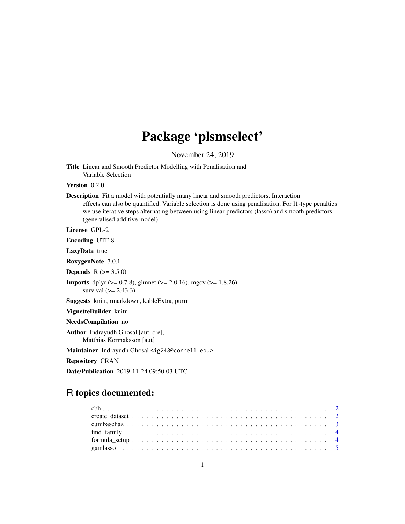# Package 'plsmselect'

November 24, 2019

<span id="page-0-0"></span>Title Linear and Smooth Predictor Modelling with Penalisation and Variable Selection

Version 0.2.0

Description Fit a model with potentially many linear and smooth predictors. Interaction effects can also be quantified. Variable selection is done using penalisation. For l1-type penalties we use iterative steps alternating between using linear predictors (lasso) and smooth predictors (generalised additive model).

License GPL-2

Encoding UTF-8

LazyData true

RoxygenNote 7.0.1

**Depends** R  $(>= 3.5.0)$ 

**Imports** dplyr ( $>= 0.7.8$ ), glmnet ( $>= 2.0.16$ ), mgcv ( $>= 1.8.26$ ), survival  $(>= 2.43.3)$ 

Suggests knitr, rmarkdown, kableExtra, purrr

VignetteBuilder knitr

NeedsCompilation no

Author Indrayudh Ghosal [aut, cre], Matthias Kormaksson [aut]

Maintainer Indrayudh Ghosal <ig248@cornell.edu>

Repository CRAN

Date/Publication 2019-11-24 09:50:03 UTC

# R topics documented: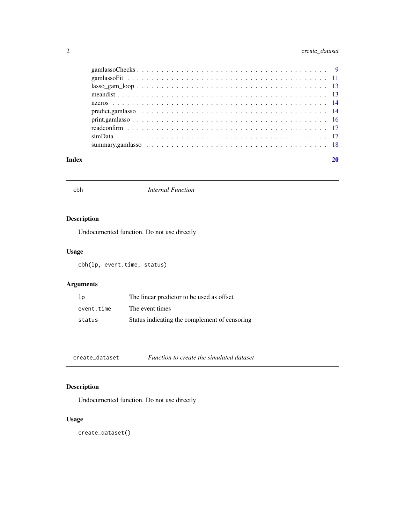# <span id="page-1-0"></span>2 create\_dataset

| Index |                    |  |
|-------|--------------------|--|
|       |                    |  |
|       |                    |  |
|       |                    |  |
|       |                    |  |
|       |                    |  |
|       |                    |  |
|       |                    |  |
|       | $lassogamlloop 13$ |  |
|       |                    |  |
|       |                    |  |

cbh *Internal Function*

# Description

Undocumented function. Do not use directly

# Usage

cbh(lp, event.time, status)

# Arguments

| 1 <sub>p</sub> | The linear predictor to be used as offset     |
|----------------|-----------------------------------------------|
| event.time     | The event times                               |
| status         | Status indicating the complement of censoring |

create\_dataset *Function to create the simulated dataset*

# Description

Undocumented function. Do not use directly

# Usage

create\_dataset()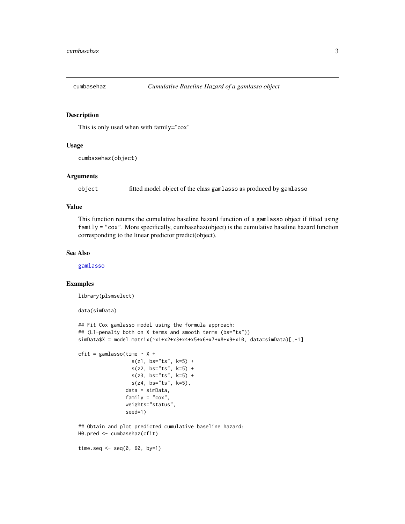<span id="page-2-0"></span>

### Description

This is only used when with family="cox"

# Usage

```
cumbasehaz(object)
```
#### Arguments

object fitted model object of the class gamlasso as produced by gamlasso

### Value

This function returns the cumulative baseline hazard function of a gamlasso object if fitted using family = "cox". More specifically, cumbasehaz(object) is the cumulative baseline hazard function corresponding to the linear predictor predict(object).

#### See Also

[gamlasso](#page-4-1)

# Examples

```
library(plsmselect)
```

```
data(simData)
```

```
## Fit Cox gamlasso model using the formula approach:
## (L1-penalty both on X terms and smooth terms (bs="ts"))
simData$X = model.matrix(~x1+x2+x3+x4+x5+x6+x7+x8+x9+x10, data=simData)[,-1]
cfit = gamlasso(time \sim X +
                  s(z1, bs="ts", k=5) +s(z2, bs="ts", k=5) +s(23, bs="ts", k=5) +s(z4, bs="ts", k=5),
                data = simData,
                family = "cox",
                weights="status",
                seed=1)
## Obtain and plot predicted cumulative baseline hazard:
H0.pred <- cumbasehaz(cfit)
time.seq \leq seq(0, 60, by=1)
```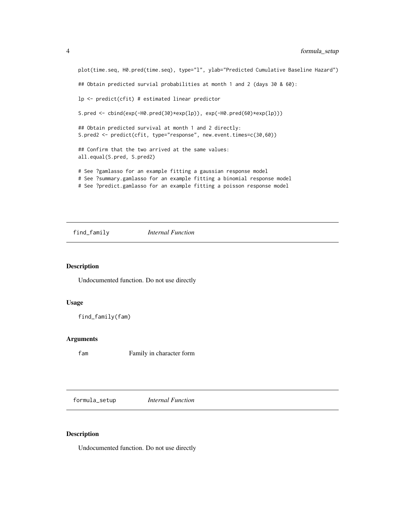```
plot(time.seq, H0.pred(time.seq), type="l", ylab="Predicted Cumulative Baseline Hazard")
## Obtain predicted survial probabilities at month 1 and 2 (days 30 & 60):
lp <- predict(cfit) # estimated linear predictor
S.pred <- cbind(exp(-H0.pred(30)*exp(lp)), exp(-H0.pred(60)*exp(lp)))
## Obtain predicted survival at month 1 and 2 directly:
S.pred2 <- predict(cfit, type="response", new.event.times=c(30,60))
## Confirm that the two arrived at the same values:
all.equal(S.pred, S.pred2)
# See ?gamlasso for an example fitting a gaussian response model
# See ?summary.gamlasso for an example fitting a binomial response model
# See ?predict.gamlasso for an example fitting a poisson response model
```
find\_family *Internal Function*

# Description

Undocumented function. Do not use directly

# Usage

find\_family(fam)

# Arguments

fam Family in character form

formula\_setup *Internal Function*

# Description

Undocumented function. Do not use directly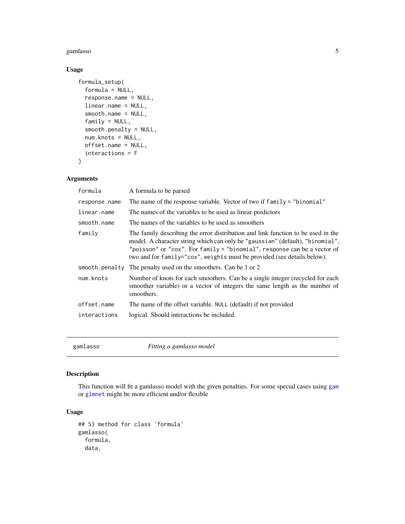#### <span id="page-4-0"></span>gamlasso 55 and 55 and 55 and 55 and 55 and 55 and 55 and 55 and 55 and 55 and 55 and 55 and 55 and 55 and 55 and 55 and 55 and 55 and 55 and 55 and 55 and 55 and 55 and 55 and 55 and 55 and 55 and 55 and 55 and 55 and 55

# Usage

```
formula_setup(
  formula = NULL,
  response.name = NULL,
  linear.name = NULL,
  smooth.name = NULL,
  family = NULL,
  smooth.penalty = NULL,
  num.knots = NULL,
  offset.name = NULL,
  interactions = F
)
```
# Arguments

| formula        | A formula to be parsed                                                                                                                                                                                                                                                                                                   |
|----------------|--------------------------------------------------------------------------------------------------------------------------------------------------------------------------------------------------------------------------------------------------------------------------------------------------------------------------|
| response.name  | The name of the response variable. Vector of two if family = "binomial"                                                                                                                                                                                                                                                  |
| linear.name    | The names of the variables to be used as linear predictors                                                                                                                                                                                                                                                               |
| smooth.name    | The names of the variables to be used as smoothers                                                                                                                                                                                                                                                                       |
| family         | The family describing the error distribution and link function to be used in the<br>model. A character string which can only be "gaussian" (default), "binomial",<br>"poisson" or "cox". For family = "binomial", response can be a vector of<br>two and for family="cox", weights must be provided (see details below). |
| smooth.penalty | The penalty used on the smoothers. Can be 1 or 2                                                                                                                                                                                                                                                                         |
| num.knots      | Number of knots for each smoothers. Can be a single integer (recycled for each<br>smoother variable) or a vector of integers the same length as the number of<br>smoothers.                                                                                                                                              |
| offset.name    | The name of the offset variable. NULL (default) if not provided                                                                                                                                                                                                                                                          |
| interactions   | logical. Should interactions be included.                                                                                                                                                                                                                                                                                |
|                |                                                                                                                                                                                                                                                                                                                          |

<span id="page-4-1"></span>gamlasso *Fitting a gamlasso model*

# Description

This function will fit a gamlasso model with the given penalties. For some special cases using [gam](#page-0-0) or [glmnet](#page-0-0) might be more efficient and/or flexible

```
## S3 method for class 'formula'
gamlasso(
  formula,
  data,
```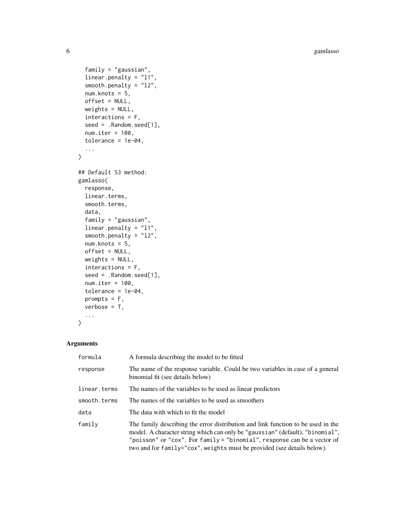6 gamlasso

```
family = "gaussian",
  linear.penalty = "l1",
  smooth.penalty = "l2",
  num.knots = 5,
  offset = NULL,
 weights = NULL,
  interactions = F,
  seed = .Random.seed[1],
  num.iter = 100,
  tolerance = 1e-04,...
\mathcal{L}## Default S3 method:
gamlasso(
  response,
  linear.terms,
  smooth.terms,
  data,
  family = "gaussian",
  linear.penalty = "l1",
  smooth.penalty = "l2",
 num.knots = 5,
  offset = NULL,
 weights = NULL,
  interactions = F,
  seed = .Random.seed[1],
  num.iter = 100,tolerance = 1e-04,prompts = F,
  verbose = T,
  ...
\mathcal{L}
```
# Arguments

| formula      | A formula describing the model to be fitted                                                                                                                                                                                                                                                                                 |
|--------------|-----------------------------------------------------------------------------------------------------------------------------------------------------------------------------------------------------------------------------------------------------------------------------------------------------------------------------|
| response     | The name of the response variable. Could be two variables in case of a general<br>binomial fit (see details below)                                                                                                                                                                                                          |
| linear.terms | The names of the variables to be used as linear predictors                                                                                                                                                                                                                                                                  |
| smooth.terms | The names of the variables to be used as smoothers                                                                                                                                                                                                                                                                          |
| data         | The data with which to fit the model                                                                                                                                                                                                                                                                                        |
| family       | The family describing the error distribution and link function to be used in the<br>model. A character string which can only be "gaussian" (default), "binomial",<br>"poisson" or "cox". For $f$ amily = "binomial", response can be a vector of<br>two and for family="cox", weights must be provided (see details below). |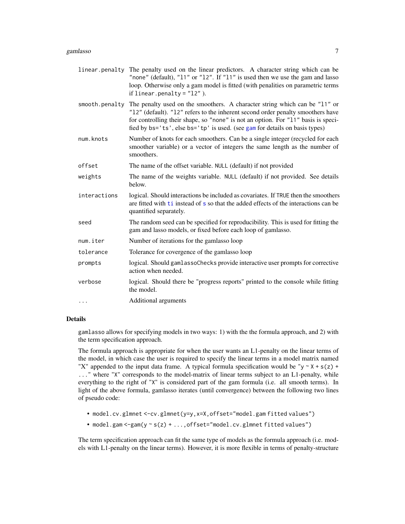#### <span id="page-6-0"></span>gamlasso 7

- linear.penalty The penalty used on the linear predictors. A character string which can be "none" (default), "11" or "12". If "11" is used then we use the gam and lasso loop. Otherwise only a gam model is fitted (with penalities on parametric terms if linear.penalty =  $"12"$ ).
- smooth.penalty The penalty used on the smoothers. A character string which can be "11" or "l2" (default). "l2" refers to the inherent second order penalty smoothers have for controlling their shape, so "none" is not an option. For "l1" basis is specified by bs='ts', else bs='tp' is used. (see [gam](#page-0-0) for details on basis types)
- num.knots Number of knots for each smoothers. Can be a single integer (recycled for each smoother variable) or a vector of integers the same length as the number of smoothers.
- offset The name of the offset variable. NULL (default) if not provided
- weights The name of the weights variable. NULL (default) if not provided. See details below.
- interactions logical. Should interactions be included as covariates. If TRUE then the smoothers are fitted with [ti](#page-0-0) instead of [s](#page-0-0) so that the added effects of the interactions can be quantified separately.
- seed The random seed can be specified for reproducibility. This is used for fitting the gam and lasso models, or fixed before each loop of gamlasso.
- num.iter Number of iterations for the gamlasso loop
- tolerance Tolerance for covergence of the gamlasso loop
- prompts logical. Should gamlassoChecks provide interactive user prompts for corrective action when needed.
- verbose logical. Should there be "progress reports" printed to the console while fitting the model.

... Additional arguments

# Details

gamlasso allows for specifying models in two ways: 1) with the the formula approach, and 2) with the term specification approach.

The formula approach is appropriate for when the user wants an L1-penalty on the linear terms of the model, in which case the user is required to specify the linear terms in a model matrix named "X" appended to the input data frame. A typical formula specification would be "y  $\sim$  X + s(z) + ..." where "X" corresponds to the model-matrix of linear terms subject to an L1-penalty, while everything to the right of "X" is considered part of the gam formula (i.e. all smooth terms). In light of the above formula, gamlasso iterates (until convergence) between the following two lines of pseudo code:

- model.cv.glmnet <-cv.glmnet(y=y,x=X,offset="model.gam fitted values")
- model.gam <-gam(y ~ s(z) + ..., offset="model.cv.glmnet fitted values")

The term specification approach can fit the same type of models as the formula approach (i.e. models with L1-penalty on the linear terms). However, it is more flexible in terms of penalty-structure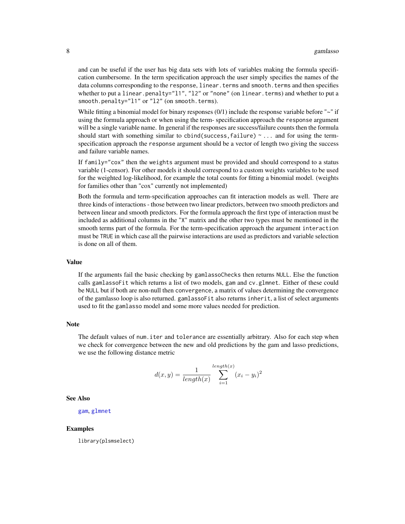<span id="page-7-0"></span>and can be useful if the user has big data sets with lots of variables making the formula specification cumbersome. In the term specification approach the user simply specifies the names of the data columns corresponding to the response, linear, terms and smooth, terms and then specifies whether to put a linear.penalty="l1", "l2" or "none" (on linear.terms) and whether to put a smooth.penalty="l1" or "l2" (on smooth.terms).

While fitting a binomial model for binary responses (0/1) include the response variable before "~" if using the formula approach or when using the term- specification approach the response argument will be a single variable name. In general if the responses are success/failure counts then the formula should start with something similar to cbind(success, failure)  $\sim$ ... and for using the termspecification approach the response argument should be a vector of length two giving the success and failure variable names.

If family="cox" then the weights argument must be provided and should correspond to a status variable (1-censor). For other models it should correspond to a custom weights variables to be used for the weighted log-likelihood, for example the total counts for fitting a binomial model. (weights for families other than "cox" currently not implemented)

Both the formula and term-specification approaches can fit interaction models as well. There are three kinds of interactions - those between two linear predictors, between two smooth predictors and between linear and smooth predictors. For the formula approach the first type of interaction must be included as additional columns in the "X" matrix and the other two types must be mentioned in the smooth terms part of the formula. For the term-specification approach the argument interaction must be TRUE in which case all the pairwise interactions are used as predictors and variable selection is done on all of them.

#### Value

If the arguments fail the basic checking by gamlassoChecks then returns NULL. Else the function calls gamlassoFit which returns a list of two models, gam and cv.glmnet. Either of these could be NULL but if both are non-null then convergence, a matrix of values determining the convergence of the gamlasso loop is also returned. gamlassoFit also returns inherit, a list of select arguments used to fit the gamlasso model and some more values needed for prediction.

#### **Note**

The default values of num.iter and tolerance are essentially arbitrary. Also for each step when we check for convergence between the new and old predictions by the gam and lasso predictions, we use the following distance metric

$$
d(x,y) = \frac{1}{length(x)} \sum_{i=1}^{length(x)} (x_i - y_i)^2
$$

See Also

[gam](#page-0-0), [glmnet](#page-0-0)

#### Examples

library(plsmselect)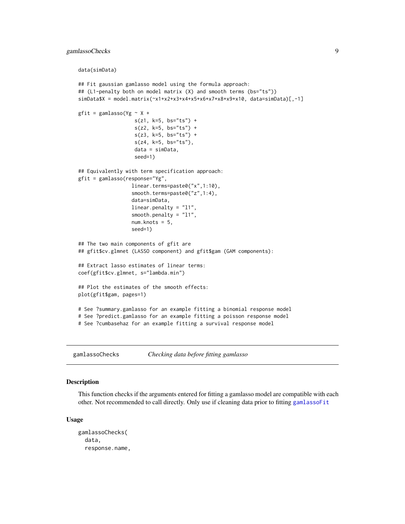# <span id="page-8-0"></span>gamlassoChecks 9

```
data(simData)
```

```
## Fit gaussian gamlasso model using the formula approach:
## (L1-penalty both on model matrix (X) and smooth terms (bs="ts"))
simData$X = model.matrix(\simx1+x2+x3+x4+x5+x6+x7+x8+x9+x10, data=simData)[,-1]
gfit = gamlasso(Yg \sim X +s(z1, k=5, bs="ts") +
                   s(z2, k=5, bs="ts") +
                   s(z3, k=5, bs="ts") +
                   s(z4, k=5, bs="ts"),
                   data = simData,
                   seed=1)
## Equivalently with term specification approach:
gfit = gamlasso(response="Yg",
                  linear.terms=paste0("x",1:10),
                  smooth.terms=paste0("z",1:4),
                  data=simData,
                  linear.penalty = "l1",
                  smooth.penalty = "l1",
                  num.knots = 5,
                  seed=1)
## The two main components of gfit are
## gfit$cv.glmnet (LASSO component) and gfit$gam (GAM components):
## Extract lasso estimates of linear terms:
coef(gfit$cv.glmnet, s="lambda.min")
## Plot the estimates of the smooth effects:
plot(gfit$gam, pages=1)
# See ?summary.gamlasso for an example fitting a binomial response model
# See ?predict.gamlasso for an example fitting a poisson response model
# See ?cumbasehaz for an example fitting a survival response model
```
gamlassoChecks *Checking data before fitting gamlasso*

# **Description**

This function checks if the arguments entered for fitting a gamlasso model are compatible with each other. Not recommended to call directly. Only use if cleaning data prior to fitting [gamlassoFit](#page-10-1)

```
gamlassoChecks(
  data,
  response.name,
```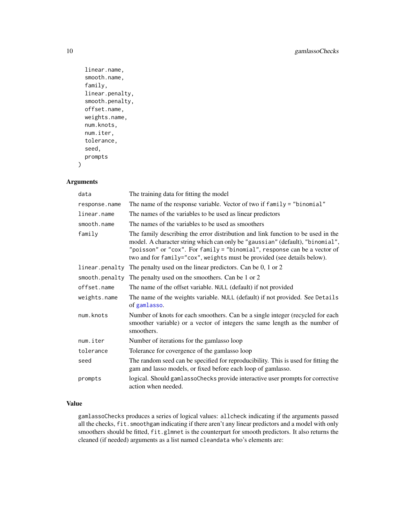```
linear.name,
  smooth.name,
  family,
  linear.penalty,
  smooth.penalty,
 offset.name,
 weights.name,
 num.knots,
 num.iter,
  tolerance,
  seed,
 prompts
)
```
# Arguments

| data           | The training data for fitting the model                                                                                                                                                                                                                                                                                  |
|----------------|--------------------------------------------------------------------------------------------------------------------------------------------------------------------------------------------------------------------------------------------------------------------------------------------------------------------------|
| response.name  | The name of the response variable. Vector of two if family = "binomial"                                                                                                                                                                                                                                                  |
| linear.name    | The names of the variables to be used as linear predictors                                                                                                                                                                                                                                                               |
| smooth.name    | The names of the variables to be used as smoothers                                                                                                                                                                                                                                                                       |
| family         | The family describing the error distribution and link function to be used in the<br>model. A character string which can only be "gaussian" (default), "binomial",<br>"poisson" or "cox". For family = "binomial", response can be a vector of<br>two and for family="cox", weights must be provided (see details below). |
| linear.penalty | The penalty used on the linear predictors. Can be 0, 1 or 2                                                                                                                                                                                                                                                              |
| smooth.penalty | The penalty used on the smoothers. Can be 1 or 2                                                                                                                                                                                                                                                                         |
| offset.name    | The name of the offset variable. NULL (default) if not provided                                                                                                                                                                                                                                                          |
| weights.name   | The name of the weights variable. NULL (default) if not provided. See Details<br>of gamlasso.                                                                                                                                                                                                                            |
| num.knots      | Number of knots for each smoothers. Can be a single integer (recycled for each<br>smoother variable) or a vector of integers the same length as the number of<br>smoothers.                                                                                                                                              |
| num.iter       | Number of iterations for the gamlasso loop                                                                                                                                                                                                                                                                               |
| tolerance      | Tolerance for covergence of the gamlasso loop                                                                                                                                                                                                                                                                            |
| seed           | The random seed can be specified for reproducibility. This is used for fitting the<br>gam and lasso models, or fixed before each loop of gamlasso.                                                                                                                                                                       |
| prompts        | logical. Should gamlassoChecks provide interactive user prompts for corrective<br>action when needed.                                                                                                                                                                                                                    |

# Value

gamlassoChecks produces a series of logical values: allcheck indicating if the arguments passed all the checks, fit.smoothgam indicating if there aren't any linear predictors and a model with only smoothers should be fitted, fit.glmnet is the counterpart for smooth predictors. It also returns the cleaned (if needed) arguments as a list named cleandata who's elements are:

<span id="page-9-0"></span>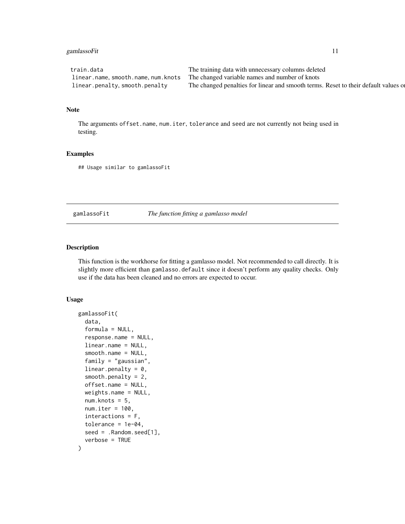# <span id="page-10-0"></span>gamlassoFit 11

| train.data                    | The training data with unnecessary columns deleted                                  |
|-------------------------------|-------------------------------------------------------------------------------------|
|                               | linear.name, smooth.name, num.knots The changed variable names and number of knots  |
| linear.penalty,smooth.penalty | The changed penalties for linear and smooth terms. Reset to their default values or |

#### Note

The arguments offset.name, num.iter, tolerance and seed are not currently not being used in testing.

### Examples

## Usage similar to gamlassoFit

<span id="page-10-1"></span>gamlassoFit *The function fitting a gamlasso model*

# Description

This function is the workhorse for fitting a gamlasso model. Not recommended to call directly. It is slightly more efficient than gamlasso.default since it doesn't perform any quality checks. Only use if the data has been cleaned and no errors are expected to occur.

```
gamlassoFit(
  data,
  formula = NULL,
  response.name = NULL,
  linear.name = NULL,
  smooth.name = NULL,
  family = "gaussian",linear.penalty = 0,
  smooth.penalty = 2,
  offset.name = NULL,
  weights.name = NULL,
  num.knots = 5,
  num.iter = 100,
  interactions = F,
  tolerance = 1e-04,
  seed = .Random.seed[1],
  verbose = TRUE
)
```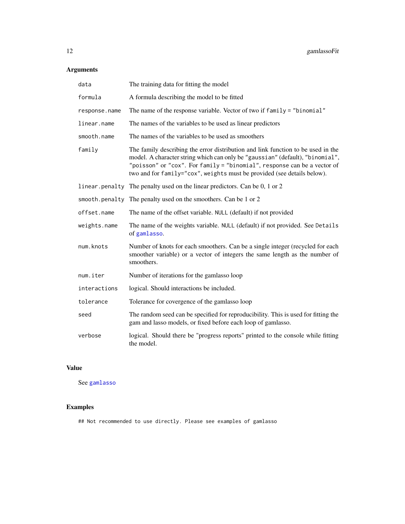# <span id="page-11-0"></span>Arguments

| data           | The training data for fitting the model                                                                                                                                                                                                                                                                                  |
|----------------|--------------------------------------------------------------------------------------------------------------------------------------------------------------------------------------------------------------------------------------------------------------------------------------------------------------------------|
| formula        | A formula describing the model to be fitted                                                                                                                                                                                                                                                                              |
| response.name  | The name of the response variable. Vector of two if family = "binomial"                                                                                                                                                                                                                                                  |
| linear.name    | The names of the variables to be used as linear predictors                                                                                                                                                                                                                                                               |
| smooth.name    | The names of the variables to be used as smoothers                                                                                                                                                                                                                                                                       |
| family         | The family describing the error distribution and link function to be used in the<br>model. A character string which can only be "gaussian" (default), "binomial",<br>"poisson" or "cox". For family = "binomial", response can be a vector of<br>two and for family="cox", weights must be provided (see details below). |
|                | linear. penalty The penalty used on the linear predictors. Can be 0, 1 or 2                                                                                                                                                                                                                                              |
| smooth.penalty | The penalty used on the smoothers. Can be 1 or 2                                                                                                                                                                                                                                                                         |
| offset.name    | The name of the offset variable. NULL (default) if not provided                                                                                                                                                                                                                                                          |
| weights.name   | The name of the weights variable. NULL (default) if not provided. See Details<br>of gamlasso.                                                                                                                                                                                                                            |
| num.knots      | Number of knots for each smoothers. Can be a single integer (recycled for each<br>smoother variable) or a vector of integers the same length as the number of<br>smoothers.                                                                                                                                              |
| num.iter       | Number of iterations for the gamlasso loop                                                                                                                                                                                                                                                                               |
| interactions   | logical. Should interactions be included.                                                                                                                                                                                                                                                                                |
| tolerance      | Tolerance for covergence of the gamlasso loop                                                                                                                                                                                                                                                                            |
| seed           | The random seed can be specified for reproducibility. This is used for fitting the<br>gam and lasso models, or fixed before each loop of gamlasso.                                                                                                                                                                       |
| verbose        | logical. Should there be "progress reports" printed to the console while fitting<br>the model.                                                                                                                                                                                                                           |

# Value

See [gamlasso](#page-4-1)

# Examples

## Not recommended to use directly. Please see examples of gamlasso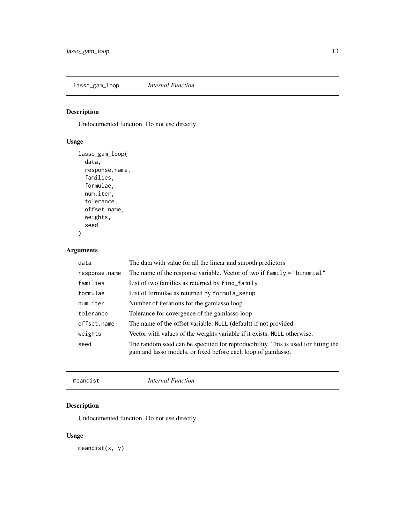<span id="page-12-0"></span>lasso\_gam\_loop *Internal Function*

# Description

Undocumented function. Do not use directly

# Usage

```
lasso_gam_loop(
  data,
  response.name,
  families,
  formulae,
  num.iter,
  tolerance,
  offset.name,
  weights,
  seed
)
```
# Arguments

| data          | The data with value for all the linear and smooth predictors                                                                                       |
|---------------|----------------------------------------------------------------------------------------------------------------------------------------------------|
| response.name | The name of the response variable. Vector of two if $family = "binomial"$                                                                          |
| families      | List of two families as returned by find family                                                                                                    |
| formulae      | List of formulae as returned by formula_setup                                                                                                      |
| num.iter      | Number of iterations for the gamlasso loop                                                                                                         |
| tolerance     | Tolerance for covergence of the gamlasso loop                                                                                                      |
| offset.name   | The name of the offset variable. NULL (default) if not provided                                                                                    |
| weights       | Vector with values of the weights variable if it exists. NULL otherwise.                                                                           |
| seed          | The random seed can be specified for reproducibility. This is used for fitting the<br>gam and lasso models, or fixed before each loop of gamlasso. |

meandist *Internal Function*

# Description

Undocumented function. Do not use directly

# Usage

meandist $(x, y)$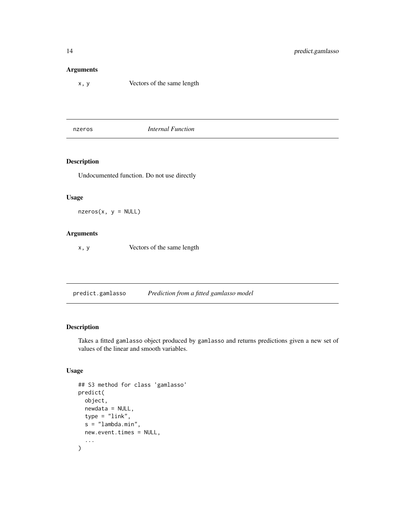# <span id="page-13-0"></span>Arguments

x, y Vectors of the same length

nzeros *Internal Function*

# Description

Undocumented function. Do not use directly

# Usage

 $nzeros(x, y = NULL)$ 

# Arguments

x, y Vectors of the same length

predict.gamlasso *Prediction from a fitted gamlasso model*

# Description

Takes a fitted gamlasso object produced by gamlasso and returns predictions given a new set of values of the linear and smooth variables.

```
## S3 method for class 'gamlasso'
predict(
  object,
  newdata = NULL,
  type = "link",
  s = "lambda.mbda.min",new.event.times = NULL,
  ...
\mathcal{L}
```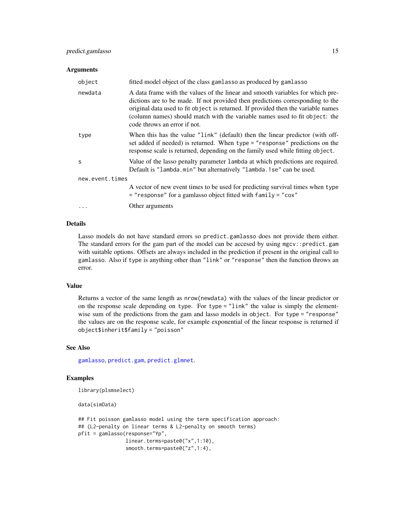# <span id="page-14-0"></span>predict.gamlasso 15

#### Arguments

| object          | fitted model object of the class gamlasso as produced by gamlasso                                                                                                                                                                                                                                                                                                    |
|-----------------|----------------------------------------------------------------------------------------------------------------------------------------------------------------------------------------------------------------------------------------------------------------------------------------------------------------------------------------------------------------------|
| newdata         | A data frame with the values of the linear and smooth variables for which pre-<br>dictions are to be made. If not provided then predictions corresponding to the<br>original data used to fit object is returned. If provided then the variable names<br>(column names) should match with the variable names used to fit object: the<br>code throws an error if not. |
| type            | When this has the value "link" (default) then the linear predictor (with off-<br>set added if needed) is returned. When type = "response" predictions on the<br>response scale is returned, depending on the family used while fitting object.                                                                                                                       |
| S               | Value of the lasso penalty parameter lambda at which predictions are required.<br>Default is "lambda.min" but alternatively "lambda.1se" can be used.                                                                                                                                                                                                                |
| new.event.times |                                                                                                                                                                                                                                                                                                                                                                      |
|                 | A vector of new event times to be used for predicting survival times when type<br>$=$ "response" for a gamlasso object fitted with family $=$ "cox"                                                                                                                                                                                                                  |
| $\ddots$        | Other arguments                                                                                                                                                                                                                                                                                                                                                      |

#### Details

Lasso models do not have standard errors so predict.gamlasso does not provide them either. The standard errors for the gam part of the model can be accesed by using mgcv::predict.gam with suitable options. Offsets are always included in the prediction if present in the original call to gamlasso. Also if type is anything other than "link" or "response" then the function throws an error.

# Value

Returns a vector of the same length as nrow(newdata) with the values of the linear predictor or on the response scale depending on type. For type = "link" the value is simply the elementwise sum of the predictions from the gam and lasso models in object. For type = "response" the values are on the response scale, for example exponential of the linear response is returned if object\$inherit\$family = "poisson"

#### See Also

[gamlasso](#page-4-1), [predict.gam](#page-0-0), [predict.glmnet](#page-0-0).

# Examples

```
library(plsmselect)
```
data(simData)

```
## Fit poisson gamlasso model using the term specification approach:
## (L2-penalty on linear terms & L2-penalty on smooth terms)
pfit = gamlasso(response="Yp",
               linear.terms=paste0("x",1:10),
                smooth.terms=paste0("z",1:4),
```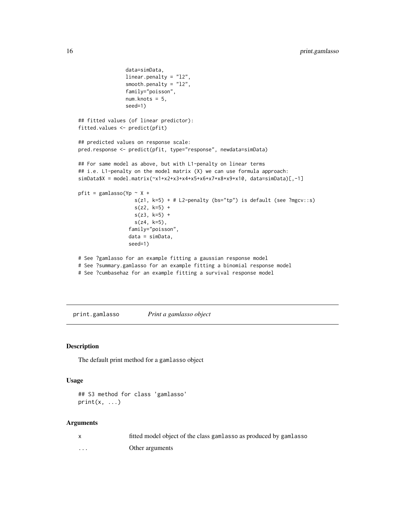```
data=simData,
                linear.penalty = "l2",
                smooth.penalty = "l2",
                family="poisson",
                num.knots = 5,seed=1)
## fitted values (of linear predictor):
fitted.values <- predict(pfit)
## predicted values on response scale:
pred.response <- predict(pfit, type="response", newdata=simData)
## For same model as above, but with L1-penalty on linear terms
## i.e. L1-penalty on the model matrix (X) we can use formula approach:
simData$X = model.matrix(~x1+x2+x3+x4+x5+x6+x7+x8+x9+x10, data=simData)[,-1]
pfit = gamlasso(Yp \sim X +
                   s(z1, k=5) + # L2-penalty (bs="tp") is default (see ?mgcv::s)
                   s(z2, k=5) +
                   s(z3, k=5) +
                   s(z4, k=5),
                 family="poisson",
                 data = simData,
                 seed=1)
# See ?gamlasso for an example fitting a gaussian response model
# See ?summary.gamlasso for an example fitting a binomial response model
```
# See ?cumbasehaz for an example fitting a survival response model

print.gamlasso *Print a gamlasso object*

# Description

The default print method for a gamlasso object

#### Usage

```
## S3 method for class 'gamlasso'
print(x, \ldots)
```
#### Arguments

|         | fitted model object of the class gamlasso as produced by gamlasso |
|---------|-------------------------------------------------------------------|
| $\cdot$ | Other arguments                                                   |

<span id="page-15-0"></span>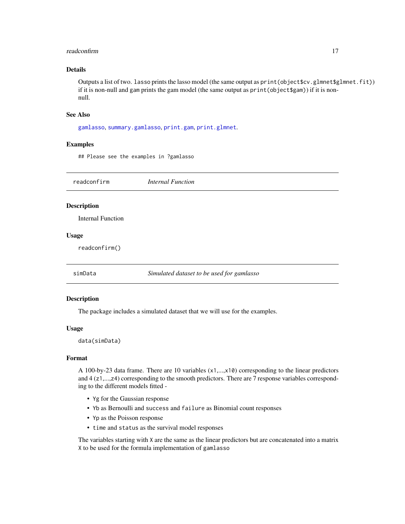#### <span id="page-16-0"></span>readconfirm that the contract of the contract of the contract of the contract of the contract of the contract of the contract of the contract of the contract of the contract of the contract of the contract of the contract

# Details

Outputs a list of two. lasso prints the lasso model (the same output as print (object  $\texttt{fcv}.glmnet\texttt{glmnet}.fit)$ ) if it is non-null and gam prints the gam model (the same output as print(object\$gam)) if it is nonnull.

#### See Also

[gamlasso](#page-4-1), [summary.gamlasso](#page-17-1), [print.gam](#page-0-0), [print.glmnet](#page-0-0).

#### Examples

## Please see the examples in ?gamlasso

| readconfirm        | <b>Internal Function</b>                  |  |
|--------------------|-------------------------------------------|--|
| <b>Description</b> |                                           |  |
| Internal Function  |                                           |  |
| <b>Usage</b>       |                                           |  |
| readconfirm()      |                                           |  |
|                    |                                           |  |
| simData            | Simulated dataset to be used for gamlasso |  |

# Description

The package includes a simulated dataset that we will use for the examples.

#### Usage

data(simData)

#### Format

A 100-by-23 data frame. There are 10 variables (x1,...,x10) corresponding to the linear predictors and 4 (z1,...,z4) corresponding to the smooth predictors. There are 7 response variables corresponding to the different models fitted -

- Yg for the Gaussian response
- Yb as Bernoulli and success and failure as Binomial count responses
- Yp as the Poisson response
- time and status as the survival model responses

The variables starting with X are the same as the linear predictors but are concatenated into a matrix X to be used for the formula implementation of gamlasso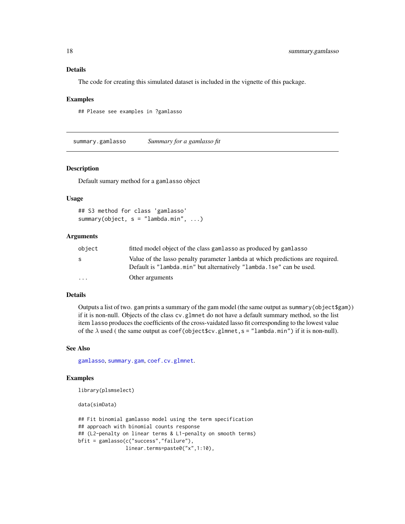# <span id="page-17-0"></span>Details

The code for creating this simulated dataset is included in the vignette of this package.

#### Examples

## Please see examples in ?gamlasso

<span id="page-17-1"></span>summary.gamlasso *Summary for a gamlasso fit*

#### Description

Default sumary method for a gamlasso object

#### Usage

```
## S3 method for class 'gamlasso'
summary(object, s = "lambda.mbda.min", ...)
```
# Arguments

| object   | fitted model object of the class gamlasso as produced by gamlasso                                                                                     |
|----------|-------------------------------------------------------------------------------------------------------------------------------------------------------|
| -S       | Value of the lasso penalty parameter lambda at which predictions are required.<br>Default is "lambda.min" but alternatively "lambda.1se" can be used. |
| $\cdots$ | Other arguments                                                                                                                                       |

# Details

Outputs a list of two. gam prints a summary of the gam model (the same output as summary(object\$gam)) if it is non-null. Objects of the class cv.glmnet do not have a default summary method, so the list item lasso produces the coefficients of the cross-vaidated lasso fit corresponding to the lowest value of the  $\lambda$  used ( the same output as coef(object\$cv.glmnet, s = "lambda.min") if it is non-null).

#### See Also

[gamlasso](#page-4-1), [summary.gam](#page-0-0), [coef.cv.glmnet](#page-0-0).

#### Examples

```
library(plsmselect)
```
data(simData)

```
## Fit binomial gamlasso model using the term specification
## approach with binomial counts response
## (L2-penalty on linear terms & L1-penalty on smooth terms)
bfit = gamlasso(c("success","failure"),
               linear.terms=paste0("x",1:10),
```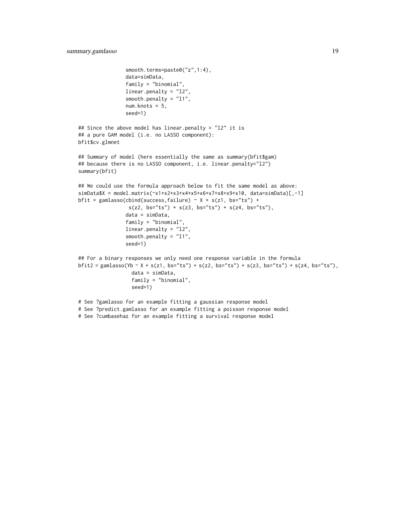```
smooth.terms=paste0("z",1:4),
                data=simData,
                family = "binomial",
                linear.penalty = "l2",
                smooth.penalty = "l1",
                num.knots = 5,
                seed=1)
## Since the above model has linear.penalty = "l2" it is
## a pure GAM model (i.e. no LASSO component):
bfit$cv.glmnet
## Summary of model (here essentially the same as summary(bfit$gam)
## because there is no LASSO component, i.e. linear.penalty="12")
summary(bfit)
## We could use the formula approach below to fit the same model as above:
simData$X = model.matrix(~x1+x2+x3+x4+x5+x6+x7+x8+x9+x10, data=simData)[,-1]
bfit = gamlasso(cbind(success,failure) \sim X + s(z1, bs="ts") +
                 s(z2, bs="ts") + s(z3, bs="ts") + s(z4, bs="ts"),data = simData,
                family = "binomial",
                linear.penalty = "l2",
                smooth.penalty = "l1",
                seed=1)
## For a binary responses we only need one response variable in the formula
\text{bf1} = gamlasso(Yb ~ X + s(z1, bs="ts") + s(z2, bs="ts") + s(z3, bs="ts") + s(z4, bs="ts"),
                  data = simData,
                  family = "binomial",
                  seed=1)
# See ?gamlasso for an example fitting a gaussian response model
```
# See ?predict.gamlasso for an example fitting a poisson response model # See ?cumbasehaz for an example fitting a survival response model